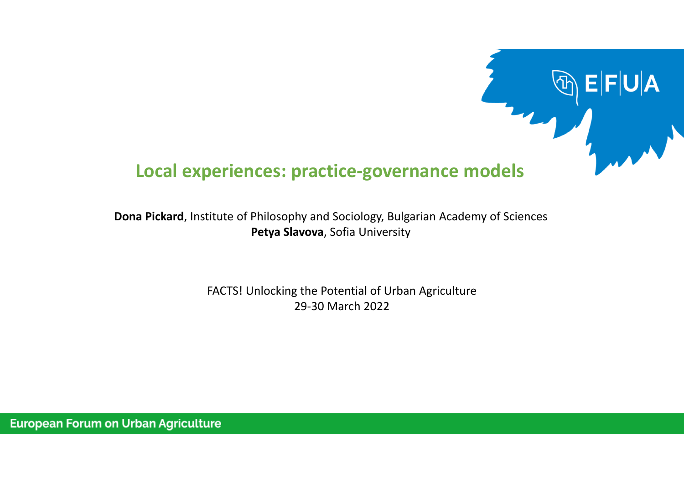# **Local experiences: practice‐governance models**

 $\mathsf{J}|\mathsf{A}|$ 

**Dona Pickard**, Institute of Philosophy and Sociology, Bulgarian Academy of Sciences **Petya Slavova**, Sofia University

> FACTS! Unlocking the Potential of Urban Agriculture 29‐30 March 2022

**European Forum on Urban Agriculture**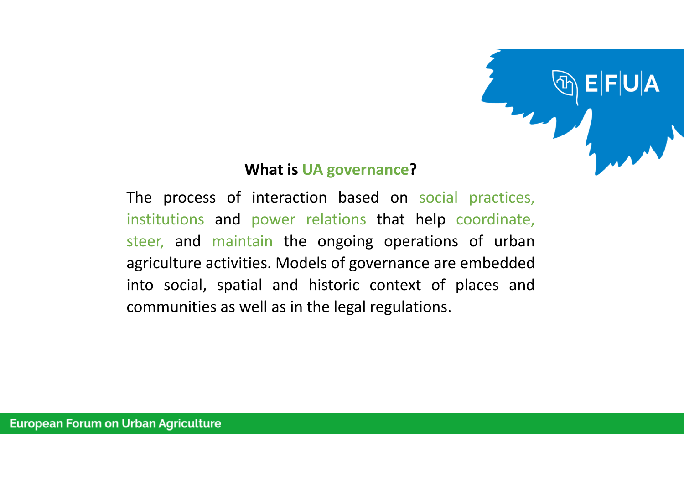

### **What is UA governance?**

The process of interaction based on social practices, institutions and power relations that help coordinate, steer, and maintain the ongoing operations of urban agriculture activities. Models of governance are embedded into social, spatial and historic context of places and communities as well as in the legal regulations.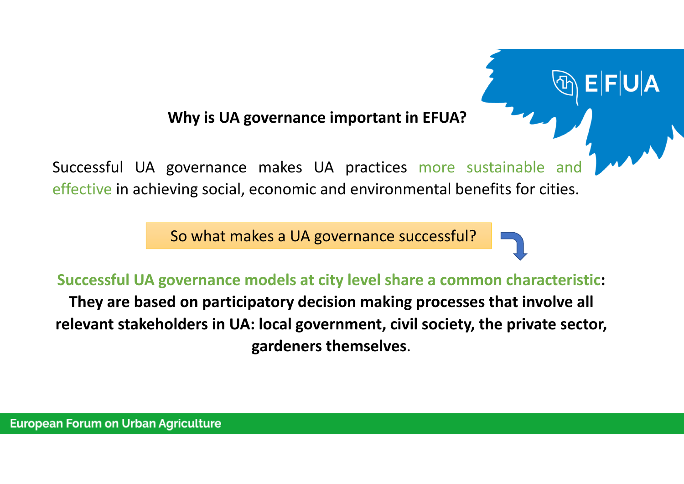**Why is UA governance important in EFUA?**

Successful UA governance makes UA practices more sustainable and effective in achieving social, economic and environmental benefits for cities.

So what makes <sup>a</sup> UA governance successful?

**Successful UA governance models at city level share <sup>a</sup> common characteristic:**

**They are based on participatory decision making processes that involve all relevant stakeholders in UA: local government, civil society, the private sector, gardeners themselves**.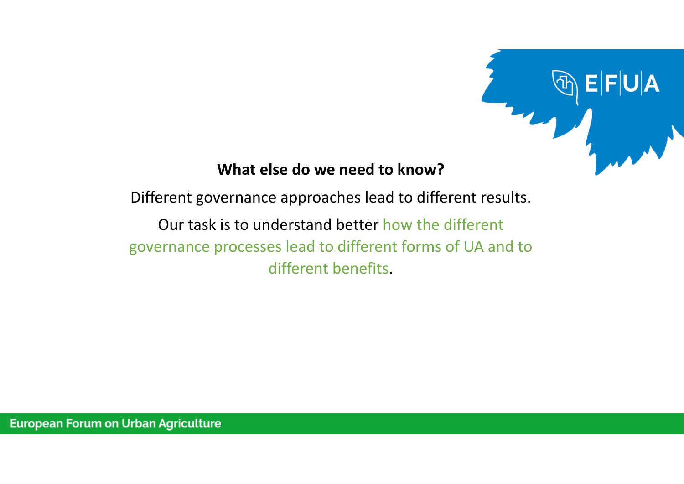

# **What else do we need to know?**

Different governance approaches lead to different results.

Our task is to understand better how the different governance processes lead to different forms of UA and to different benefits.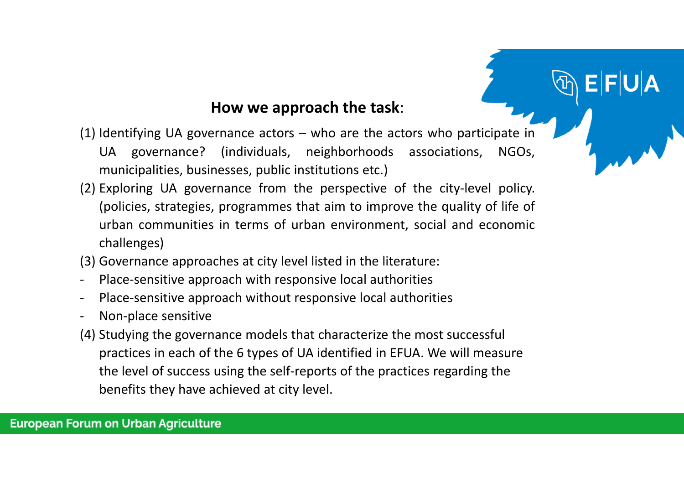## **How we approach the task**:

- (1) Identifying UA governance actors who are the actors who participate in UA governance? (individuals, neighborhoods associations, NGOs, municipalities, businesses, public institutions etc.)
- (2) Exploring UA governance from the perspective of the city‐level policy. (policies, strategies, programmes that aim to improve the quality of life of urban communities in terms of urban environment, social and economic challenges)
- (3) Governance approaches at city level listed in the literature:
- Place-sensitive approach with responsive local authorities
- Place-sensitive approach without responsive local authorities
- Non‐place sensitive
- (4) Studying the governance models that characterize the most successful practices in each of the 6 types of UA identified in EFUA. We will measure the level of success using the self‐reports of the practices regarding the benefits they have achieved at city level.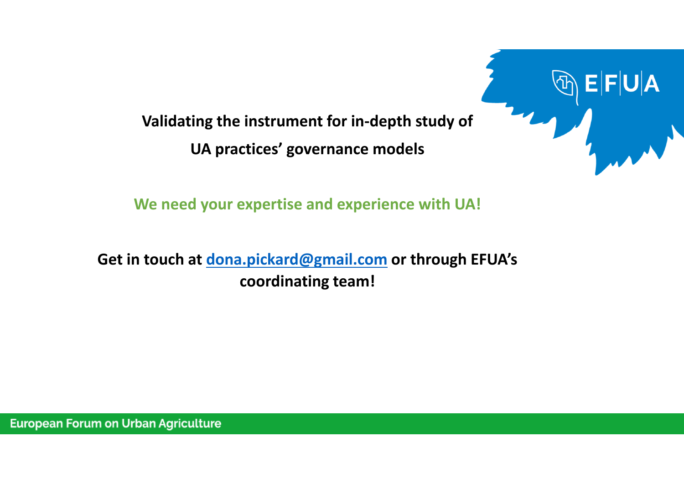**Validating the instrument for in‐depth study of UA practices' governance models**



**We need your expertise and experience with UA!**

**Get in touch at dona.pickard@gmail.com or through EFUA's coordinating team!**

**European Forum on Urban Agriculture**